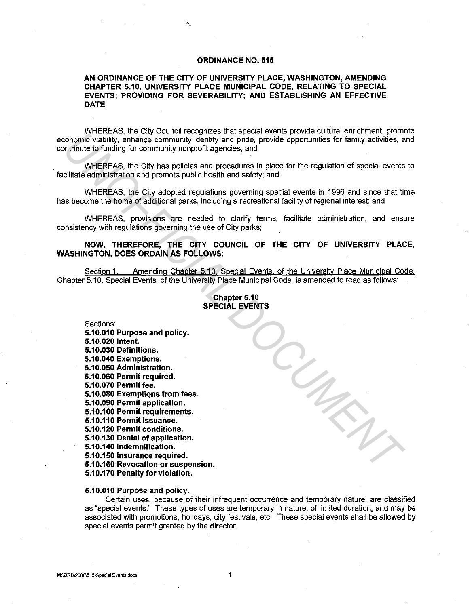# **ORDINANCE NO. 515**

# **AN ORDINANCE OF THE CITY OF UNIVERSITY PLACE, WASHINGTON, AMENDING CHAPTER 5.10, UNIVERSITY PLACE MUNICIPAL CODE, RELATING TO SPECIAL EVENTS; PROVIDING FOR SEVERABILITY; AND ESTABLISHING AN EFFECTIVE DATE**

WHEREAS, the City Council recognizes that special events provide cultural enrichment, promote economic viability, enhance community identity and pride, provide opportunities for family activities, and contribute to funding for community nonprofit agencies; and

WHEREAS, the City has policies and procedures in place for the regulation of special events to facilitate administration and promote public health and safety; and

WHEREAS, the City adopted regulations governing special events in 1996 and since that time has become the home of additional parks, including a recreational facility of regional interest; and

WHEREAS, provisions are needed to clarify terms, facilitate administration, and ensure consistency with regulations governing the use of City parks;

**NOW, THEREFORE, THE CITY COUNCIL OF THE CITY OF UNIVERSITY PLACE, WASHINGTON, DOES ORDAIN AS FOLLOWS:** .

Section 1. Amending Chapter 5.10, Special Events, of the University Place Municipal Code. Chapter 5.10, Special Events, of the University Place Municipal Code, is amended to read as follows:

# **Chapter 5.10 SPECIAL EVENTS**

Sections: **5.10.010 Purpose and policy. 5.10.020 Intent. 5.10.030 Definitions. 5.10.040 Exemptions. 5.10.050 Administration. 5.10.060 Permit required. 5.10.070 Permitfee. 5.10.080 Exemptiqns from fees. 5.10.090 Permit application. 5.10.100 Permit requirements. 5.10.110 Permit issuance. 5.10.120 Permit conditions. 5.10.130 Denial of application. 5.10.140 Indemnification. 5.10.150 Insurance required. 5.10.160 Revocation or suspension. 5.10.170 Penalty for violation. EXERCISE TO THE CHAPTENTS And exploration and product response that speakes are the special exerts in 1906 in the speaker of the regulation of special events<br>
UNIFICIAL WHEREAS, the City has policies and procedures in pla** 

#### **5.10.010 Purpose and policy.**

Certain uses, because of their infrequent occurrence and temporary nature, are classified as "special events." These types of uses are temporary in nature, of limited duration, and may be associated with promotions, holidays, city festivals, etc. These special events shall be allowed by special events permit granted by the director.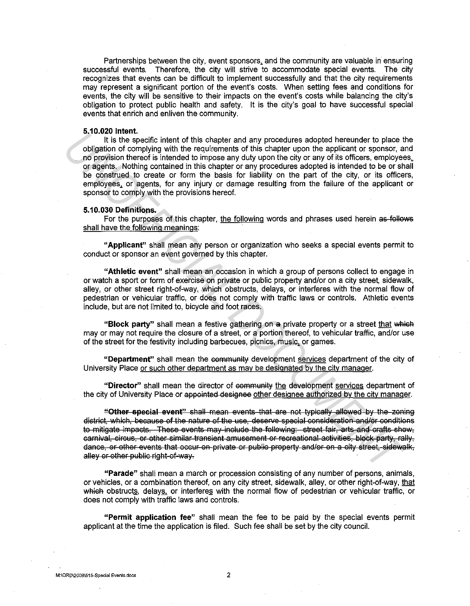Partnerships between the city, event sponsors. and the community are valuable in ensuring successful events. Therefore, the city will strive to accommodate special events. The city recognizes that events can be difficult to implement successfully and that the city requirements may represent a significant portion of the event's costs. When setting fees and conditions for events, the city will be sensitive to their impacts on the event's costs while balancing the city's obligation to protect public health and safety. It is the city's goal to have successful special events that enrich and enliven the community.

## **5.10.020 Intent.**

It is the specific intent of this chapter and any procedures adopted hereunder to place the obligation of complying with the requirements of this chapter upon the applicant or sponsor, and no provision thereof is intended to impose any duty upon the city or any of its officers, employees. or agents. Nothing contained in this chapter or any procedures adopted is intended to be or shall be construed to create or form the basis for liability on the part of the city, or its officers, employees. or agents, for any injury or damage resulting from the failure of the applicant or sponsor to comply with the provisions hereof. **3.1.0.00** thentical the chapter and any procedures adopted hereunder to place the<br>galacon of complying with the requirements of this chapter upon the applicant or spontor, a<br>proposition of complements of this chapter upon

## **5.10.030 Definitions.**

For the purposes of this chapter, the following words and phrases used herein as follows shall have the following meanings:

**"Applicant"** shall mean any person or organization who seeks a special events permit to conduct or sponsor an event governed by this chapter.

**"Athletic event"** shall mean an occasion in which a group of persons collect to engage in or watch a sport or form of exercise on private or public property and/or on a city street, sidewalk, alley, or other street right-of-way, which obstructs, delays, or interferes with the normal flow of pedestrian or vehicular traffic, or does not comply with traffic laws or controls. Athletic events include, but are not limited to, bicycle and foot races.

"Block party" shall mean a festive gathering on a private property or a street that which may or may not require the closure of a street, or a portion thereof, to vehicular traffic, and/or use of the street for the festivity including barbecues, picnics, music. or games.

**"Department"** shall mean the community development services department of the city of University Place or such other department as may be designated by the city manager.

"Director" shall mean the director of community the development services department of the city of University Place or appointed designee other designee authorized by the city manager.

**"Other special event"** shall mean events that are not typically allowed by the zoning district, which, because of the nature of the use, deserve special consideration and/or conditions to mitigate impacts. These events may include the following: street fair, arts and crafts show, carnival, circus, or other similar transient amusement or recreational activities, block party, rally, dance, or other events that occur on private or public property and/or on a city street, sidewalk, alley or other public right-of-way.

**"Parade"** shall mean a march or procession consisting of any number of persons, animals, or vehicles, or a combination thereof, on any city street, sidewalk, alley, or other right-of-way, that which obstructs, delays, or interferes with the normal flow of pedestrian or vehicular traffic, or does not comply with traffic laws and controls.

**"Permit application fee"** shall mean the fee to be paid by the special events permit applicant at the time the application is filed. Such fee shall be set by the city council.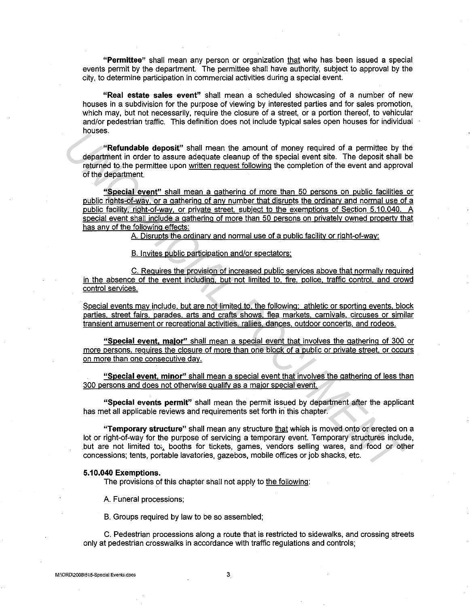**"Permittee"** shall mean any person or organization that wile has been issued a special events permit by the department. The permittee shall have authority, subject to approval by the city, to determine participation in commercial activities during a special event.

**"Real estate sales event"** shall mean a scheduled showcasing of a number of new houses in a subdivision for the purpose of viewing by interested parties and for sales promotion, which may, but not necessarily, require the closure of a street, or a portion thereof, to vehicular and/or pedestrian traffic. This definition does not include typical sales open houses for individual houses.

**"Refundable deposit"** shall mean the amount of money required of a permittee by the department in order to assure adequate cleanup of the special event site. The deposit shall be returned to the permittee upon written request following the completion of the event and approval of the department.

**"Special event"** shall mean a gathering of more than 50 persons on public facilities or public rights-of-way, or a gathering of any number that disrupts the ordinarv and normal use of a public facility, right-of-way, or private street, subject to the exemptions of Section 5.10.040. A special event shall include a gathering of more than 50 persons on privately owned property that has any of the following effects: **Example of a serve the model of a serve the section and the model of a server and the department in order to assure adequate clearaty of the special event site. The deposit shall eiting the completion of the server since** 

A. Disrupts the ordinary and normal use of a public facility or right-of-way;

B. Invites public participation and/or spectators:

C. Requires the provision of increased public services above that normally required in the absence of the event including, but not limited to. fire. police, traffic control, and crowd control services.

Special events may include, but are not limited to. the following: athletic or sporting events, block parties, street fairs, parades, arts and crafts shows, flea markets, carnivals, circuses or similar transient amusement or recreational activities, rallies, dances, outdoor concerts, and rodeos.

**"Special event, major"** shall mean a special event that involves the gathering of 300 or more persons, requires the closure of more than one block of a public or private street. or occurs on more than one consecutive day.

**"Special event, minor"** shall mean a special event that involves the gathering of less than 300 persons and does not otherwise qualify as a major special event.

**"Special events permit"** shall mean the permit issued by department after the applicant has met all applicable reviews and requirements set forth in this chapter.

**"Temporary structure"** shall mean any structure that which is moved onto or erected on a lot or right-of-way for the purpose of servicing a temporary event. Temporary structures include, but are not limited t07, booths for tickets, games, vendors selling wares, and food or other concessions; tents, portable lavatories, gazebos, mobile offices or job shacks, etc.

# **5.10.040 Exemptions.**

The provisions of this chapter shall not apply to the following:

A. Funeral processions;

B. Groups required by law to be so assembled;

C. Pedestrian processions along a route that is restricted to sidewalks, and crossing streets only at pedestrian crosswalks in accordance with traffic regulations and controls;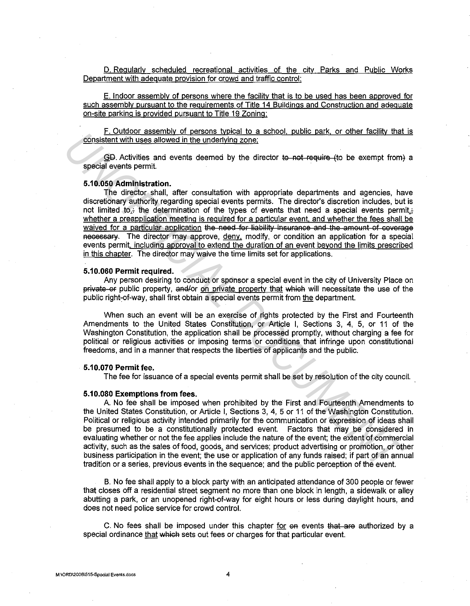D. Regularly scheduled recreational activities of the city Parks and Public Works Department with adequate provision for crowd and traffic control:

E. Indoor assembly of persons where the facility that is to be used has been approved for such assembly pursuant to the requirements of Title 14 Buildings and Construction and adequate on-site parking is provided pursuant to Title 19 Zoning:

F. Outdoor assembly of persons typical to a school, public park. or other facility that is consistent with uses allowed in the underlying zone:

 $-$  GD. Activities and events deemed by the director to not require (to be exempt from) a special events permit.

## **5.10.050 Administration.**

The director shall, after consultation with appropriate departments and agencies, have discretionary authority regarding special events permits. The director's discretion includes, but is not limited to,; the determination of the types of events that need a special events permit.; whether a preapplication meeting is required for a particular event. and whether the fees shall be waived for a particular application the need for liability insurance and the amount of coverage Reeessary. The director may approve, deny, modify, or condition an application for a special events permit. including approval to extend the duration of an event beyond the limits prescribed in this chapter. The director may waive the time limits set for applications. Consistent with uses allowed in the distance when principle and the unit server in the server of the server in the server in the server in the distance of the server in the distance of the server in the distance of the dis

#### **5.10.060 Permit required.**

Any person desiring to conduct or sponsor a special event in the city of University Place on private er public property, and/or on private property that which will necessitate the use of the public right~of-way, shall first obtain a special events permit from the department.

When such an event will be an exercise of rights protected by the First and Fourteenth Amendments to the United States Constitution, or Article I, Sections 3, 4, 5, or 11 of the Washington Constitution, the application shall be processed promptly, without charging a fee for political or religious activities or imposing terms or conditions that infringe upon constitutional freedoms, and in a manner that respects the liberties of applicants and the public.

## **5.10.070 Permit fee.**

The fee for issuance of a special events permit shall be set by resolution of the city council.

## **5.10.080 Exemptions from fees.**

A No fee shall be imposed when prohibited by the First and Fourteenth Amendments to the United States Constitution, or Article I, Sections 3, 4, 5 or 11 of the Washington Constitution. Political or religious activity intended primarily for the communication or expression of ideas shall be presumed to be a constitutionally protected event. Factors that may be considered in evaluating whether or not the fee applies include the nature of the event; the extent of commercial activity, such as the sales of food, goods. and services; product advertising or promotion, or other business participation in the event; the use or application of any funds raised; if part of an annual tradition or a series, previous events in the sequence; and the public perception of the event.

B. No fee shall apply to a block party with an anticipated attendance of 300 people or fewer that closes off a residential street segment no more than one block in length, a sidewalk or alley abutting a park, or an unopened right-of-way for eight hours or less during daylight hours, and does not need police service for crowd control.

C. No fees shall be imposed under this chapter for  $\Theta$  events that are authorized by a special ordinance that which sets out fees or charges for that particular event.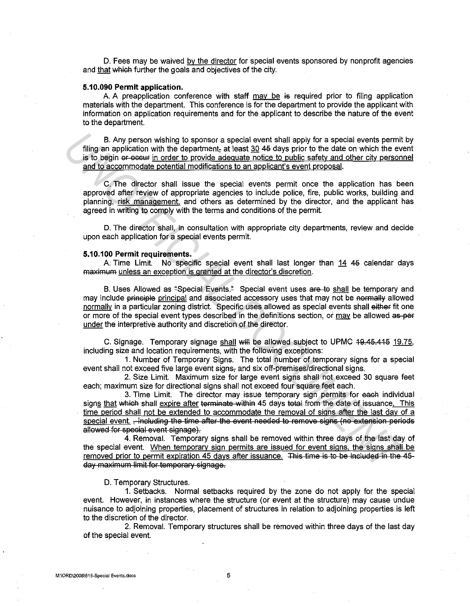D. Fees may be waived by the director for special events sponsored by nonprofit agencies and that which further the goals and objectives of the city.

#### **5.10.090 Permit application.**

A. A preapplication conference with staff  $\frac{may}{he}$  is required prior to filing application materials with the department. This conference is for the department to provide the applicant with information on application requirements and for the applicant to describe the nature of the event to the department.

B. Any person wishing to sponsor a special event shall apply for a special events permit by filing an application with the department, at least 30 45 days prior to the date on which the event is to begin er eccur in order to provide adequate notice to public safety and other city personnel and to accommodate potential modifications to an applicant's event proposal.

C. The director shall issue the special events permit once the application has been approved after review of appropriate agencies to include police, fire, public works, building and planning, risk management, and others as determined by the director, and the applicant has agreed in writing to comply with the terms and conditions of the permit.

D. The director shall, in consultation with appropriate city departments, review and decide upon each application for a special events permit.

#### **5.10.100 Permit requirements.**

A. Time Limit. No specific special event shall last longer than 14 4G calendar days maximum unless an exception is granted at the director's discretion.

B. Uses Allowed as "Special Events." Special event uses are to shall be temporary and may include principle principal and associated accessory uses that may not be normally allowed normally in a particular zoning district. Specific uses allowed as special events shall either fit one or more of the special event types described in the definitions section, or may be allowed as-per under the interpretive authority and discretion of the director. B. Any person wishing to sponsor a special event shall apply for a special event smilling an application with the department, at least 30 46 days prior to the date on which the event and oxider model of the commodate polic

C. Signage. Temporary signage shall will be allowed subject to UPMC 49.45.415 19.75, including size and location requirements, with the following exceptions:

1. Number of Temporary Signs. The total number of temporary signs for a special event shall not exceed five large event signs, and six off-premises/directional signs.

2. Size Limit. Maximum size for large event signs shall not exceed 30 square feet each; maximum size for directional signs shall not exceed four square feet each.

3. Time Limit. The director may issue temporary sign permits for each individual signs that which shall expire after terminate within 45 days total from the date of issuance. This time period shall not be extended to accommodate the removal of signs after the last day of a special event. , including the time after the event needed to remove signs (no extension periods allowed for special event signage).

4. Removal. Temporary signs shall be removed within three days of the last day of the special event. When temporarv sign permits are issued for event signs. the signs shall be removed prior to permit expiration 45 days after issuance. This time is to be included in the 45day maximum limit for temporary signage.

## D. Temporary Structures.

1. Setbacks. Normal setbacks required by the zone do not apply for the special event. However, in instances where the structure (or event at the structure) may cause undue nuisance to adjoining properties, placement of structures in relation to adjoining properties is left to the discretion of the director.

2. Removal. Temporary structures shall be removed within three days of the last day of the special event.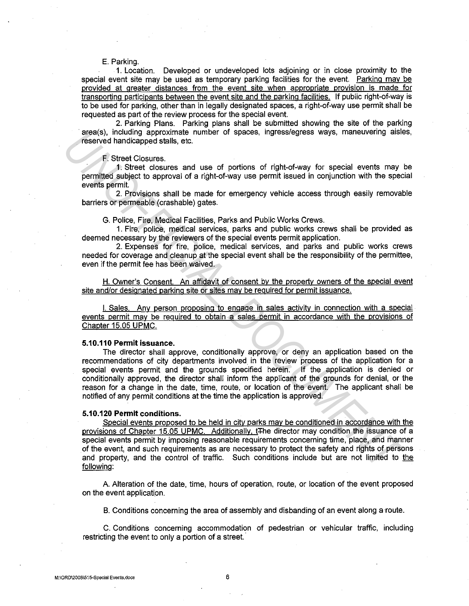## E. Parking.

1. Location. Developed or undeveloped lots adjoining or in close proximity to the special event site may be used as temporary parking facilities for the event. Parking may be provided at greater distances from the event site when appropriate provision is made for transporting participants between the event site and the parking facilities. If public right-of-way is to be used for parking, other than in legally designated spaces, a right-of-way use permit shall be requested as part of the review process for the special event.

2. Parking Plans. Parking plans shall be submitted showing the site of the parking area(s), including approximate number of spaces, ingress/egress ways, maneuvering aisles, reserved handicapped stalls, etc.

# F. Street Closures.

1. Street closures and use of portions of right-of-way for special events may be permitted subject to approval of a right-of-way use permit issued in conjunction with the special events permit.

2. Provisions shall be made for emergency vehicle access through easily removable barriers or permeable (crashable) gates.

G. Police, Fire, Medical Facilities, Parks and Public Works Crews.

1. Fire, police, medical services, parks and public works crews shall be provided as deemed necessary by the reviewers of the special events permit application.

2. Expenses for fire, police, medical services, and parks and public works crews needed for coverage and cleanup at the special event shall be the responsibility of the permittee, even if the permit fee has been waived.

H. Owner's Consent. An affidavit of consent by the property owners of the special event site and/or designated parking site or sites may be required for permit issuance.

I. Sales. Any person proposing to engage in sales activity in connection with a special events permit may be required to obtain a sales permit in accordance with the provisions of Chapter 15.05 UPMC.

## **5.10.110 Permit issuance.**

The director shall approve, conditionally approve, or deny an application based on the recommendations of city departments involved in the review process of the application for a special events permit and the grounds specified herein. If the application is denied or conditionally approved, the director shall inform the applicant of the grounds for denial, or the reason for a change in the date, time, route, or location of the event. The applicant shall be notified of any permit conditions at the time the application is approved. areass), including approximate numer of spaces, ingressiegress ways, maneuvering assessed than the space of the state of decisions and use of portions of right-of-way for special events may is events permitted date at the

## **5.10.120 Permit conditions.**

Special events proposed to be held in city parks may be conditioned in accordance with the provisions of Chapter 15.05 UPMC. Additionally, t<sub>The director may condition the issuance of a</sub> special events permit by imposing reasonable requirements concerning time, place, and manner of the event, and such requirements as are necessary to protect the safety and rights of persons and property, and the control of traffic. Such conditions include but are not limited to the following:

A Alteration of the date, time, hours of operation, route, or location of the event proposed on the event application.

B. Conditions concerning the area of assembly and disbanding of an event along a route.

C. Conditions concerning accommodation of pedestrian or vehicular traffic, including restricting the event to only a portion of a street.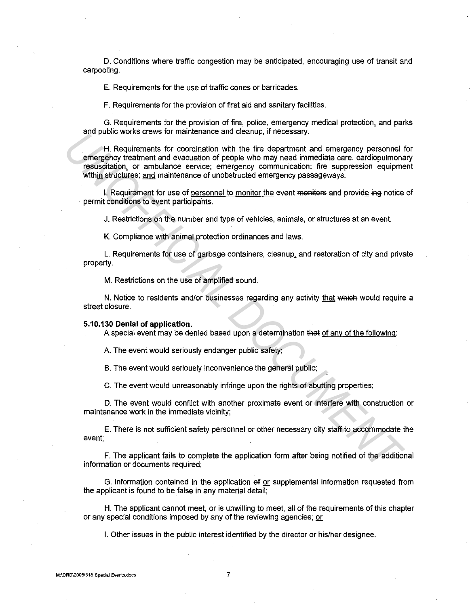D. Conditions where traffic congestion may be anticipated, encouraging use of transit and carpooling.

E. Requirements for the use of traffic cones or barricades.

F. Requirements for the provision of first aid and sanitary facilities.

G. Requirements for the provision of fire, police, emergency medical protection. and parks and public works crews for maintenance and cleanup, if necessary.

H. Requirements for coordination with the fire department and emergency personnel for emergency treatment and evacuation of people who may need immediate care, cardiopulmonary resuscitation. or ambulance service; emergency communication; fire suppression equipment within structures; and maintenance of unobstructed emergency passageways. and public works class for intained and detailed. In tectssary.<br> **PHR Requirements for coordination with the fire department and emergency personnel in<br>
Propertical documents for coordination of people who may need immedia** 

I. Requirement for use of personnel to monitor the event monitors and provide ing notice of permit conditions to event participants.

J. Restrictions on the number and type of vehicles, animals, or structures at an event.

K. Compliance with animal protection ordinances and laws.

L. Requirements for use of garbage containers, cleanup. and restoration of city and private property.

M. Restrictions on the use of amplified sound.

N. Notice to residents and/or businesses regarding any activity that which would require a street closure.

## **5.10.130 Denial of application.**

A special event may be denied based upon a determination that of any of the following:

A. The event would seriously endanger public safety;

B. The event would seriously inconvenience the general public;

C. The event would unreasonably infringe upon the rights of abutting properties;

D. The event would conflict with another proximate event or interfere with construction or maintenance work in the immediate vicinity;

E. There is not sufficient safety personnel or other necessary city staff to accommodate the event;

F. The applicant fails to complete the application form after being notified of the additional information or documents required;

G. Information contained in the application ef or supplemental information requested from the applicant is found to be false in any material detail;

H. The applicant cannot meet, or is unwilling to meet, all of the requirements of this chapter or any special conditions imposed by any of the reviewing agencies; or

I. Other issues in the public interest identified by the director or his/her designee.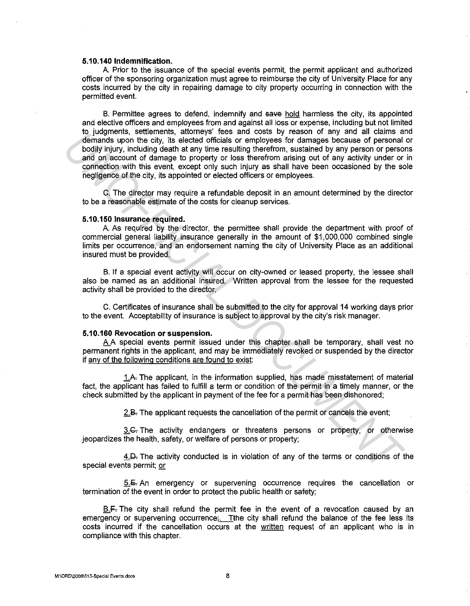## **5.10.140 Indemnification.**

A Prior to the issuance of the special events permit, the permit applicant and authorized officer of the sponsoring organization must agree to reimburse the city of University Place for any costs incurred by the city in repairing damage to city property occurring in connection with the permitted event.

B. Permittee agrees to defend, indemnify and save hold harmless the city, its appointed and elective officers and employees from and against all loss or expense, including but not limited to judgments, settlements, attorneys' fees and costs by reason of any and all claims and demands upon the city, its elected officials or employees for damages because of personal or bodily injury, including death at any time resulting therefrom, sustained by any person or persons and on account of damage to property or loss therefrom arising out of any activity under or in connection with this event, except only such injury as shall have been occasioned by the sole negligence of the city, its appointed or elected officers or employees. Using the state internets, attoriuse these area costs of excess the ranges because of personnal colume in the set of different internet between the state of personnal and or account of diamage to property or loss therefor

C. The director may require a refundable deposit in an amount determined by the director to be a reasonable estimate of the costs for cleanup services.

#### **5.10.150 Insurance required.**

A. As required by the director, the permittee shall provide the department with proof of commercial general liability insurance generally in the amount of \$1,000,000 combined single limits per occurrence, and an endorsement naming the city of University Place as an additional insured must be provided.

B. If a special event activity will occur on city-owned or leased property, the lessee shall also be named as an additional insured. Written approval from the lessee for the requested activity shall be provided to the director.

C. Certificates of insurance shall be submitted to the city for approval 14 working days prior to the event. Acceptability of insurance is subject to approval by the city's risk manager.

# **5.10.160 Revocation or suspension.**

A A special events permit issued under this chapter shall be temporary, shall vest no permanent rights in the applicant, and may be immediately revoked or suspended by the director if any of the following conditions are found to exist:

1.A. The applicant, in the information supplied, has made misstatement of material fact, the applicant has failed to fulfill a term or condition of the permit in a timely manner, or the check submitted by the applicant in payment of the fee for a permit has been dishonored;

2.B. The applicant requests the cancellation of the permit or cancels the event;

3.G. The activity endangers or threatens persons or property, or otherwise jeopardizes the health, safety, or welfare of persons or property;

4.D. The activity conducted is in violation of any of the terms or conditions of the special events permit; or

5.E. An emergency or supervening occurrence requires the cancellation or termination of the event in order to protect the public health or safety;

B.F. The city shall refund the permit fee in the event of a revocation caused by an emergency or supervening occurrence. The city shall refund the balance of the fee less its costs incurred if the cancellation occurs at the written request of an applicant who is in compliance with this chapter.